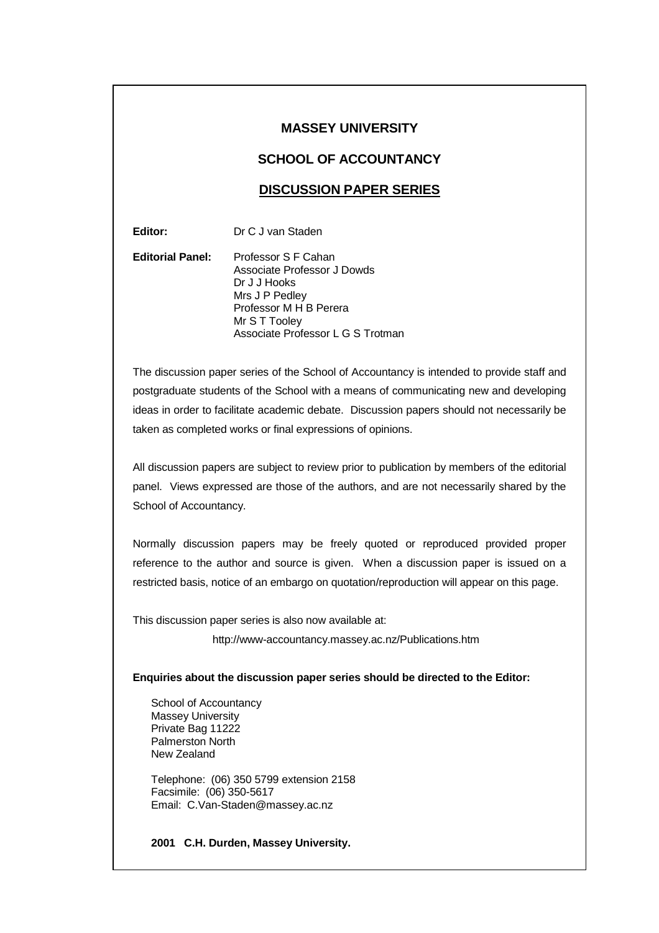## **MASSEY UNIVERSITY**

## **SCHOOL OF ACCOUNTANCY**

## **DISCUSSION PAPER SERIES**

**Editor:** Dr C J van Staden

**Editorial Panel:** Professor S F Cahan Associate Professor J Dowds Dr J J Hooks Mrs J P Pedley Professor M H B Perera Mr S T Tooley Associate Professor L G S Trotman

The discussion paper series of the School of Accountancy is intended to provide staff and postgraduate students of the School with a means of communicating new and developing ideas in order to facilitate academic debate. Discussion papers should not necessarily be taken as completed works or final expressions of opinions.

All discussion papers are subject to review prior to publication by members of the editorial panel. Views expressed are those of the authors, and are not necessarily shared by the School of Accountancy.

Normally discussion papers may be freely quoted or reproduced provided proper reference to the author and source is given. When a discussion paper is issued on a restricted basis, notice of an embargo on quotation/reproduction will appear on this page.

This discussion paper series is also now available at:

http://www-accountancy.massey.ac.nz/Publications.htm

## **Enquiries about the discussion paper series should be directed to the Editor:**

School of Accountancy Massey University Private Bag 11222 Palmerston North New Zealand

Telephone: (06) 350 5799 extension 2158 Facsimile: (06) 350-5617 Email: C.Van-Staden@massey.ac.nz

**2001 C.H. Durden, Massey University.**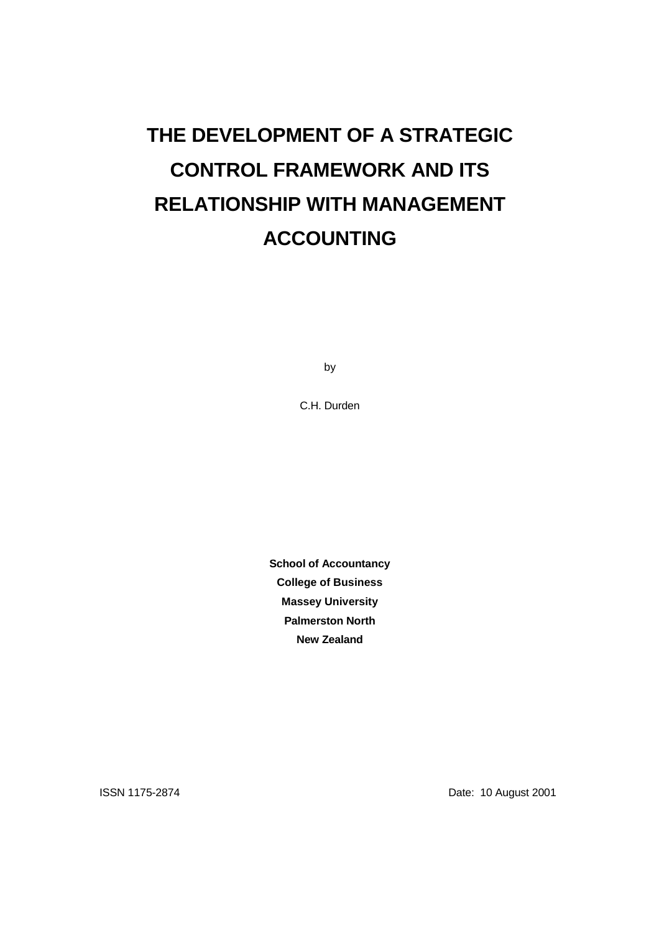## **THE DEVELOPMENT OF A STRATEGIC CONTROL FRAMEWORK AND ITS RELATIONSHIP WITH MANAGEMENT ACCOUNTING**

by

C.H. Durden

**School of Accountancy College of Business Massey University Palmerston North New Zealand**

ISSN 1175-2874 Date: 10 August 2001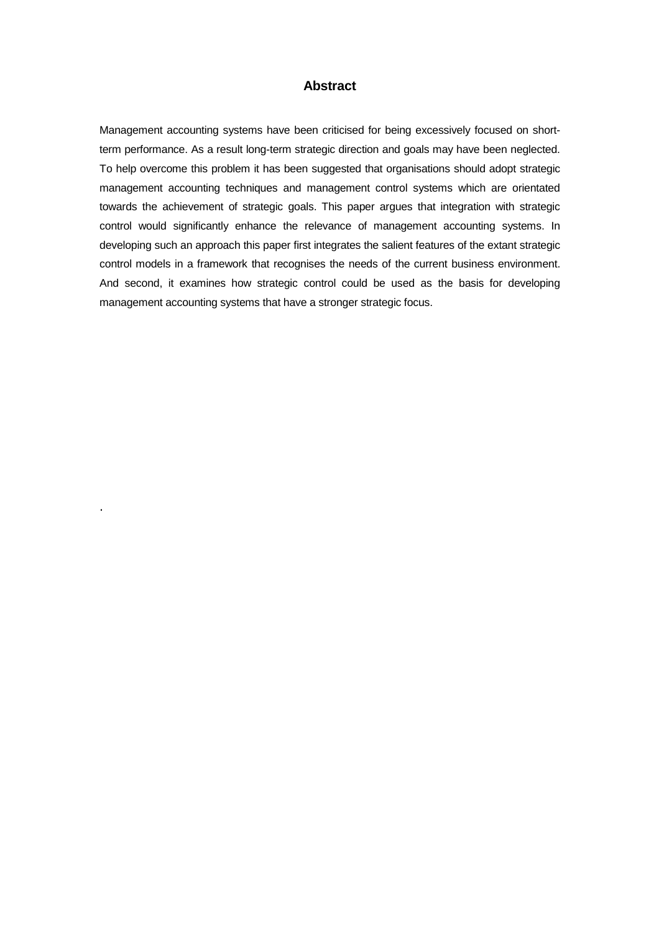## **Abstract**

Management accounting systems have been criticised for being excessively focused on shortterm performance. As a result long-term strategic direction and goals may have been neglected. To help overcome this problem it has been suggested that organisations should adopt strategic management accounting techniques and management control systems which are orientated towards the achievement of strategic goals. This paper argues that integration with strategic control would significantly enhance the relevance of management accounting systems. In developing such an approach this paper first integrates the salient features of the extant strategic control models in a framework that recognises the needs of the current business environment. And second, it examines how strategic control could be used as the basis for developing management accounting systems that have a stronger strategic focus.

.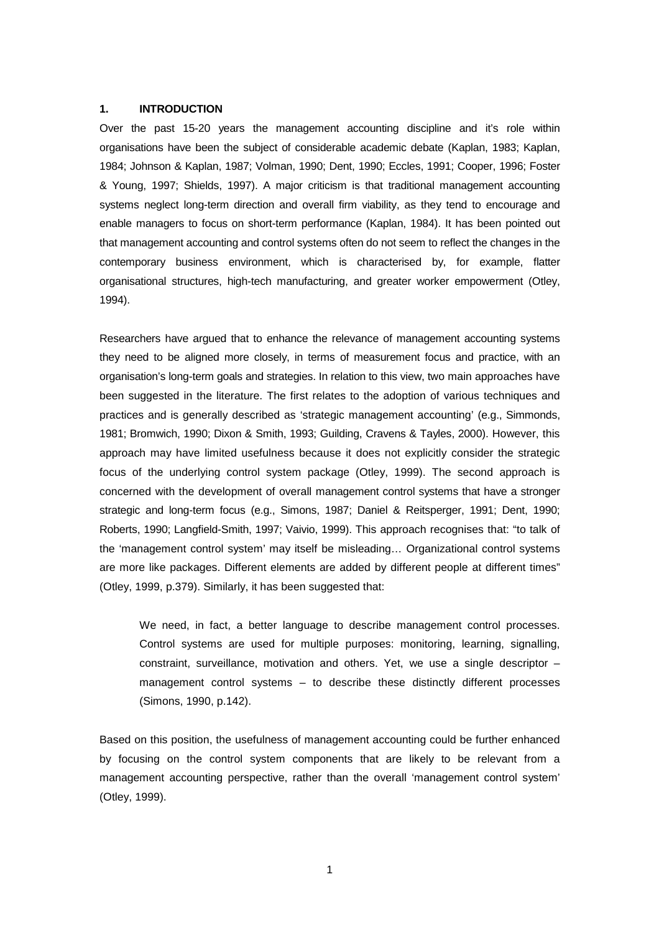#### **1. INTRODUCTION**

Over the past 15-20 years the management accounting discipline and it's role within organisations have been the subject of considerable academic debate (Kaplan, 1983; Kaplan, 1984; Johnson & Kaplan, 1987; Volman, 1990; Dent, 1990; Eccles, 1991; Cooper, 1996; Foster & Young, 1997; Shields, 1997). A major criticism is that traditional management accounting systems neglect long-term direction and overall firm viability, as they tend to encourage and enable managers to focus on short-term performance (Kaplan, 1984). It has been pointed out that management accounting and control systems often do not seem to reflect the changes in the contemporary business environment, which is characterised by, for example, flatter organisational structures, high-tech manufacturing, and greater worker empowerment (Otley, 1994).

Researchers have argued that to enhance the relevance of management accounting systems they need to be aligned more closely, in terms of measurement focus and practice, with an organisation's long-term goals and strategies. In relation to this view, two main approaches have been suggested in the literature. The first relates to the adoption of various techniques and practices and is generally described as 'strategic management accounting' (e.g., Simmonds, 1981; Bromwich, 1990; Dixon & Smith, 1993; Guilding, Cravens & Tayles, 2000). However, this approach may have limited usefulness because it does not explicitly consider the strategic focus of the underlying control system package (Otley, 1999). The second approach is concerned with the development of overall management control systems that have a stronger strategic and long-term focus (e.g., Simons, 1987; Daniel & Reitsperger, 1991; Dent, 1990; Roberts, 1990; Langfield-Smith, 1997; Vaivio, 1999). This approach recognises that: "to talk of the 'management control system' may itself be misleading… Organizational control systems are more like packages. Different elements are added by different people at different times" (Otley, 1999, p.379). Similarly, it has been suggested that:

We need, in fact, a better language to describe management control processes. Control systems are used for multiple purposes: monitoring, learning, signalling, constraint, surveillance, motivation and others. Yet, we use a single descriptor – management control systems – to describe these distinctly different processes (Simons, 1990, p.142).

Based on this position, the usefulness of management accounting could be further enhanced by focusing on the control system components that are likely to be relevant from a management accounting perspective, rather than the overall 'management control system' (Otley, 1999).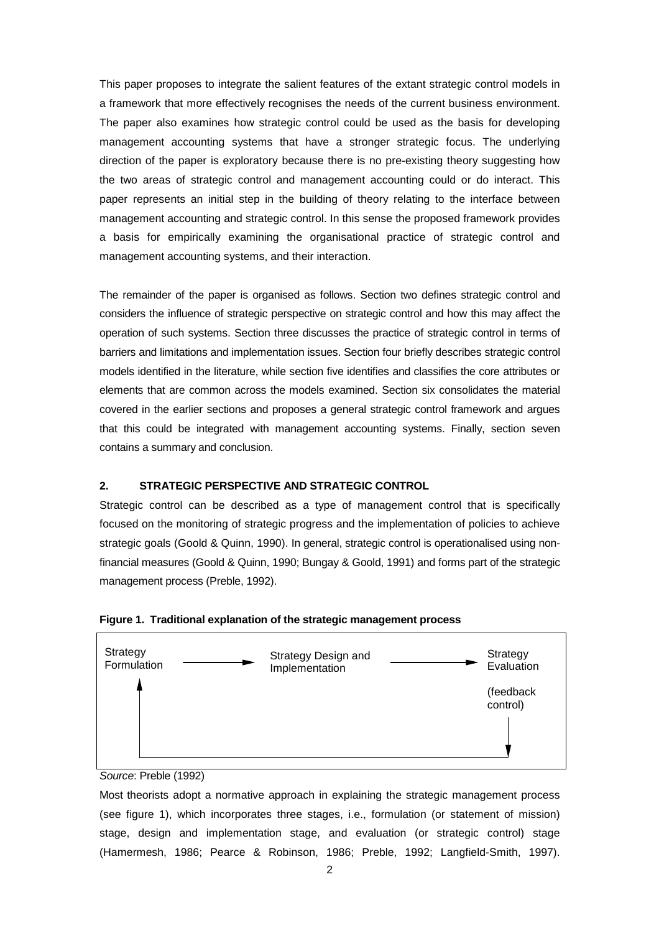This paper proposes to integrate the salient features of the extant strategic control models in a framework that more effectively recognises the needs of the current business environment. The paper also examines how strategic control could be used as the basis for developing management accounting systems that have a stronger strategic focus. The underlying direction of the paper is exploratory because there is no pre-existing theory suggesting how the two areas of strategic control and management accounting could or do interact. This paper represents an initial step in the building of theory relating to the interface between management accounting and strategic control. In this sense the proposed framework provides a basis for empirically examining the organisational practice of strategic control and management accounting systems, and their interaction.

The remainder of the paper is organised as follows. Section two defines strategic control and considers the influence of strategic perspective on strategic control and how this may affect the operation of such systems. Section three discusses the practice of strategic control in terms of barriers and limitations and implementation issues. Section four briefly describes strategic control models identified in the literature, while section five identifies and classifies the core attributes or elements that are common across the models examined. Section six consolidates the material covered in the earlier sections and proposes a general strategic control framework and argues that this could be integrated with management accounting systems. Finally, section seven contains a summary and conclusion.

## **2. STRATEGIC PERSPECTIVE AND STRATEGIC CONTROL**

Strategic control can be described as a type of management control that is specifically focused on the monitoring of strategic progress and the implementation of policies to achieve strategic goals (Goold & Quinn, 1990). In general, strategic control is operationalised using nonfinancial measures (Goold & Quinn, 1990; Bungay & Goold, 1991) and forms part of the strategic management process (Preble, 1992).





Most theorists adopt a normative approach in explaining the strategic management process (see figure 1), which incorporates three stages, i.e., formulation (or statement of mission) stage, design and implementation stage, and evaluation (or strategic control) stage (Hamermesh, 1986; Pearce & Robinson, 1986; Preble, 1992; Langfield-Smith, 1997).

Source: Preble (1992)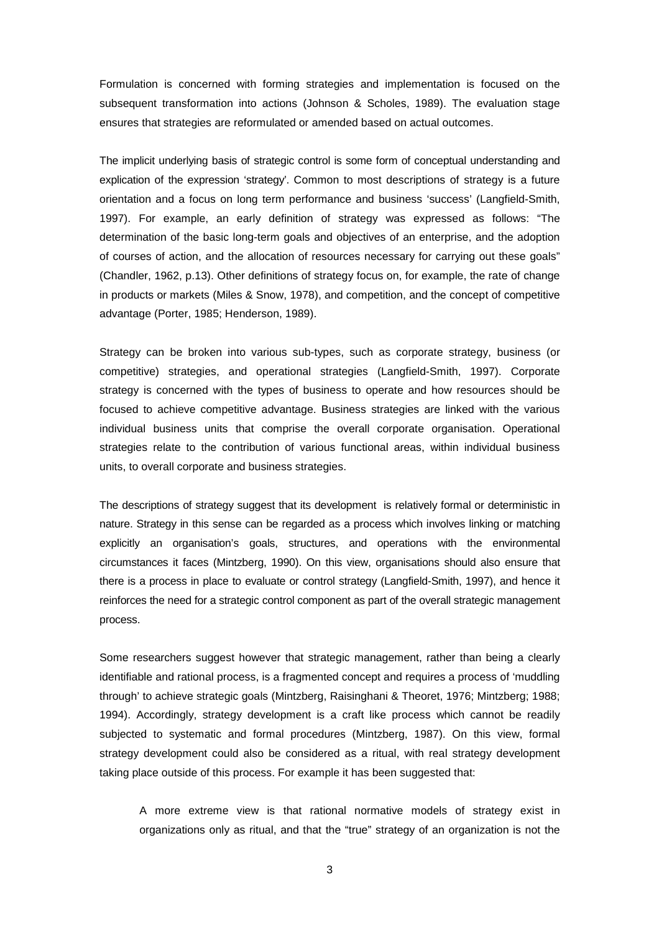Formulation is concerned with forming strategies and implementation is focused on the subsequent transformation into actions (Johnson & Scholes, 1989). The evaluation stage ensures that strategies are reformulated or amended based on actual outcomes.

The implicit underlying basis of strategic control is some form of conceptual understanding and explication of the expression 'strategy'. Common to most descriptions of strategy is a future orientation and a focus on long term performance and business 'success' (Langfield-Smith, 1997). For example, an early definition of strategy was expressed as follows: "The determination of the basic long-term goals and objectives of an enterprise, and the adoption of courses of action, and the allocation of resources necessary for carrying out these goals" (Chandler, 1962, p.13). Other definitions of strategy focus on, for example, the rate of change in products or markets (Miles & Snow, 1978), and competition, and the concept of competitive advantage (Porter, 1985; Henderson, 1989).

Strategy can be broken into various sub-types, such as corporate strategy, business (or competitive) strategies, and operational strategies (Langfield-Smith, 1997). Corporate strategy is concerned with the types of business to operate and how resources should be focused to achieve competitive advantage. Business strategies are linked with the various individual business units that comprise the overall corporate organisation. Operational strategies relate to the contribution of various functional areas, within individual business units, to overall corporate and business strategies.

The descriptions of strategy suggest that its development is relatively formal or deterministic in nature. Strategy in this sense can be regarded as a process which involves linking or matching explicitly an organisation's goals, structures, and operations with the environmental circumstances it faces (Mintzberg, 1990). On this view, organisations should also ensure that there is a process in place to evaluate or control strategy (Langfield-Smith, 1997), and hence it reinforces the need for a strategic control component as part of the overall strategic management process.

Some researchers suggest however that strategic management, rather than being a clearly identifiable and rational process, is a fragmented concept and requires a process of 'muddling through' to achieve strategic goals (Mintzberg, Raisinghani & Theoret, 1976; Mintzberg; 1988; 1994). Accordingly, strategy development is a craft like process which cannot be readily subjected to systematic and formal procedures (Mintzberg, 1987). On this view, formal strategy development could also be considered as a ritual, with real strategy development taking place outside of this process. For example it has been suggested that:

A more extreme view is that rational normative models of strategy exist in organizations only as ritual, and that the "true" strategy of an organization is not the

3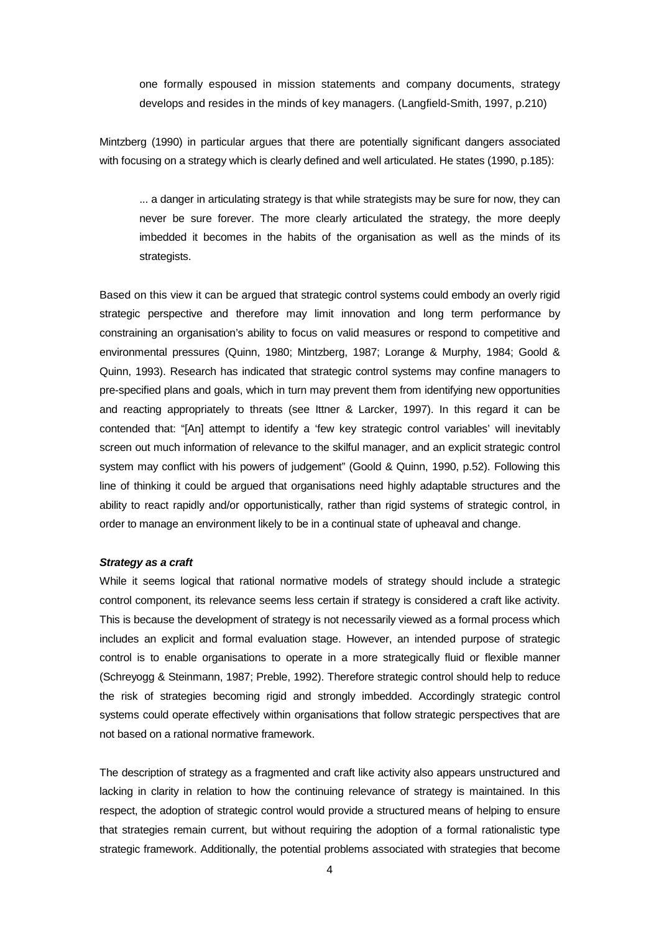one formally espoused in mission statements and company documents, strategy develops and resides in the minds of key managers. (Langfield-Smith, 1997, p.210)

Mintzberg (1990) in particular argues that there are potentially significant dangers associated with focusing on a strategy which is clearly defined and well articulated. He states (1990, p.185):

... a danger in articulating strategy is that while strategists may be sure for now, they can never be sure forever. The more clearly articulated the strategy, the more deeply imbedded it becomes in the habits of the organisation as well as the minds of its strategists.

Based on this view it can be argued that strategic control systems could embody an overly rigid strategic perspective and therefore may limit innovation and long term performance by constraining an organisation's ability to focus on valid measures or respond to competitive and environmental pressures (Quinn, 1980; Mintzberg, 1987; Lorange & Murphy, 1984; Goold & Quinn, 1993). Research has indicated that strategic control systems may confine managers to pre-specified plans and goals, which in turn may prevent them from identifying new opportunities and reacting appropriately to threats (see Ittner & Larcker, 1997). In this regard it can be contended that: "[An] attempt to identify a 'few key strategic control variables' will inevitably screen out much information of relevance to the skilful manager, and an explicit strategic control system may conflict with his powers of judgement" (Goold & Quinn, 1990, p.52). Following this line of thinking it could be argued that organisations need highly adaptable structures and the ability to react rapidly and/or opportunistically, rather than rigid systems of strategic control, in order to manage an environment likely to be in a continual state of upheaval and change.

## **Strategy as a craft**

While it seems logical that rational normative models of strategy should include a strategic control component, its relevance seems less certain if strategy is considered a craft like activity. This is because the development of strategy is not necessarily viewed as a formal process which includes an explicit and formal evaluation stage. However, an intended purpose of strategic control is to enable organisations to operate in a more strategically fluid or flexible manner (Schreyogg & Steinmann, 1987; Preble, 1992). Therefore strategic control should help to reduce the risk of strategies becoming rigid and strongly imbedded. Accordingly strategic control systems could operate effectively within organisations that follow strategic perspectives that are not based on a rational normative framework.

The description of strategy as a fragmented and craft like activity also appears unstructured and lacking in clarity in relation to how the continuing relevance of strategy is maintained. In this respect, the adoption of strategic control would provide a structured means of helping to ensure that strategies remain current, but without requiring the adoption of a formal rationalistic type strategic framework. Additionally, the potential problems associated with strategies that become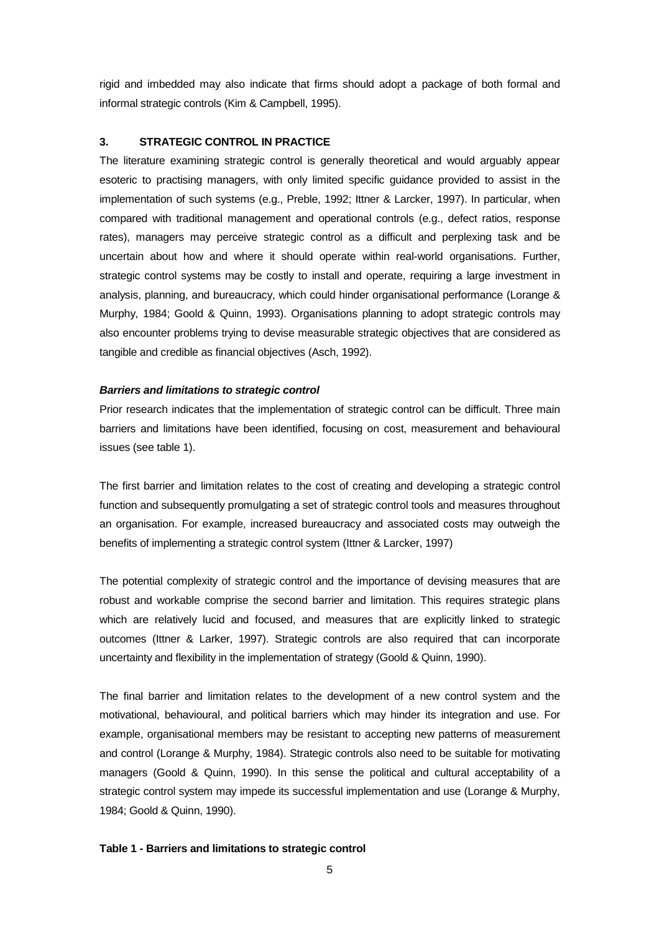rigid and imbedded may also indicate that firms should adopt a package of both formal and informal strategic controls (Kim & Campbell, 1995).

## **3. STRATEGIC CONTROL IN PRACTICE**

The literature examining strategic control is generally theoretical and would arguably appear esoteric to practising managers, with only limited specific guidance provided to assist in the implementation of such systems (e.g., Preble, 1992; Ittner & Larcker, 1997). In particular, when compared with traditional management and operational controls (e.g., defect ratios, response rates), managers may perceive strategic control as a difficult and perplexing task and be uncertain about how and where it should operate within real-world organisations. Further, strategic control systems may be costly to install and operate, requiring a large investment in analysis, planning, and bureaucracy, which could hinder organisational performance (Lorange & Murphy, 1984; Goold & Quinn, 1993). Organisations planning to adopt strategic controls may also encounter problems trying to devise measurable strategic objectives that are considered as tangible and credible as financial objectives (Asch, 1992).

#### **Barriers and limitations to strategic control**

Prior research indicates that the implementation of strategic control can be difficult. Three main barriers and limitations have been identified, focusing on cost, measurement and behavioural issues (see table 1).

The first barrier and limitation relates to the cost of creating and developing a strategic control function and subsequently promulgating a set of strategic control tools and measures throughout an organisation. For example, increased bureaucracy and associated costs may outweigh the benefits of implementing a strategic control system (Ittner & Larcker, 1997)

The potential complexity of strategic control and the importance of devising measures that are robust and workable comprise the second barrier and limitation. This requires strategic plans which are relatively lucid and focused, and measures that are explicitly linked to strategic outcomes (Ittner & Larker, 1997). Strategic controls are also required that can incorporate uncertainty and flexibility in the implementation of strategy (Goold & Quinn, 1990).

The final barrier and limitation relates to the development of a new control system and the motivational, behavioural, and political barriers which may hinder its integration and use. For example, organisational members may be resistant to accepting new patterns of measurement and control (Lorange & Murphy, 1984). Strategic controls also need to be suitable for motivating managers (Goold & Quinn, 1990). In this sense the political and cultural acceptability of a strategic control system may impede its successful implementation and use (Lorange & Murphy, 1984; Goold & Quinn, 1990).

#### **Table 1 - Barriers and limitations to strategic control**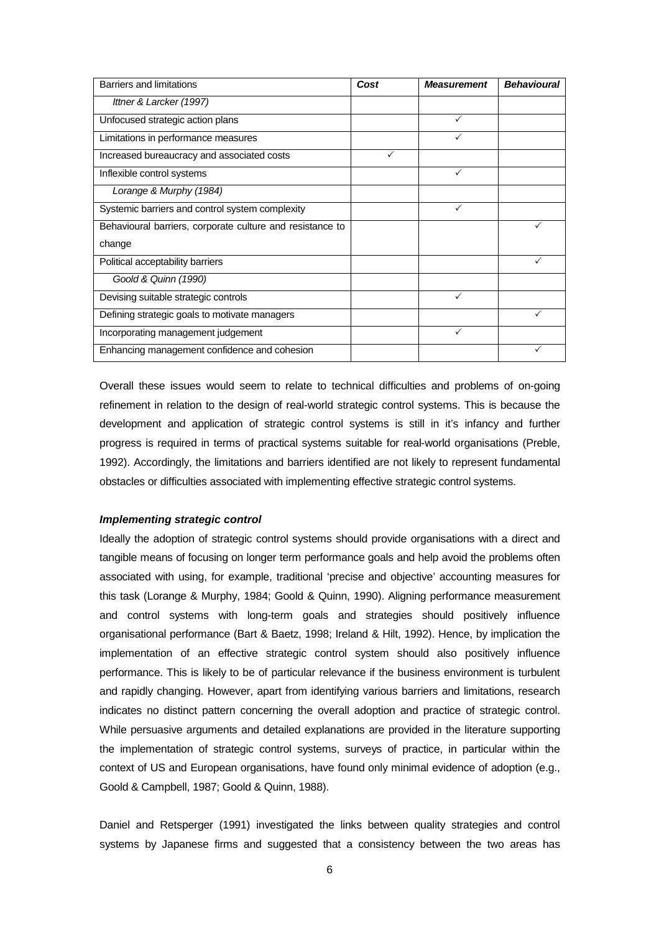| Barriers and limitations                                  | Cost         | <b>Measurement</b> | <b>Behavioural</b> |
|-----------------------------------------------------------|--------------|--------------------|--------------------|
| Ittner & Larcker (1997)                                   |              |                    |                    |
| Unfocused strategic action plans                          |              |                    |                    |
| Limitations in performance measures                       |              |                    |                    |
| Increased bureaucracy and associated costs                | $\checkmark$ |                    |                    |
| Inflexible control systems                                |              |                    |                    |
| Lorange & Murphy (1984)                                   |              |                    |                    |
| Systemic barriers and control system complexity           |              | ✓                  |                    |
| Behavioural barriers, corporate culture and resistance to |              |                    |                    |
| change                                                    |              |                    |                    |
| Political acceptability barriers                          |              |                    |                    |
| Goold & Quinn (1990)                                      |              |                    |                    |
| Devising suitable strategic controls                      |              | ✓                  |                    |
| Defining strategic goals to motivate managers             |              |                    |                    |
| Incorporating management judgement                        |              |                    |                    |
| Enhancing management confidence and cohesion              |              |                    |                    |

Overall these issues would seem to relate to technical difficulties and problems of on-going refinement in relation to the design of real-world strategic control systems. This is because the development and application of strategic control systems is still in it's infancy and further progress is required in terms of practical systems suitable for real-world organisations (Preble, 1992). Accordingly, the limitations and barriers identified are not likely to represent fundamental obstacles or difficulties associated with implementing effective strategic control systems.

## **Implementing strategic control**

Ideally the adoption of strategic control systems should provide organisations with a direct and tangible means of focusing on longer term performance goals and help avoid the problems often associated with using, for example, traditional 'precise and objective' accounting measures for this task (Lorange & Murphy, 1984; Goold & Quinn, 1990). Aligning performance measurement and control systems with long-term goals and strategies should positively influence organisational performance (Bart & Baetz, 1998; Ireland & Hilt, 1992). Hence, by implication the implementation of an effective strategic control system should also positively influence performance. This is likely to be of particular relevance if the business environment is turbulent and rapidly changing. However, apart from identifying various barriers and limitations, research indicates no distinct pattern concerning the overall adoption and practice of strategic control. While persuasive arguments and detailed explanations are provided in the literature supporting the implementation of strategic control systems, surveys of practice, in particular within the context of US and European organisations, have found only minimal evidence of adoption (e.g., Goold & Campbell, 1987; Goold & Quinn, 1988).

Daniel and Retsperger (1991) investigated the links between quality strategies and control systems by Japanese firms and suggested that a consistency between the two areas has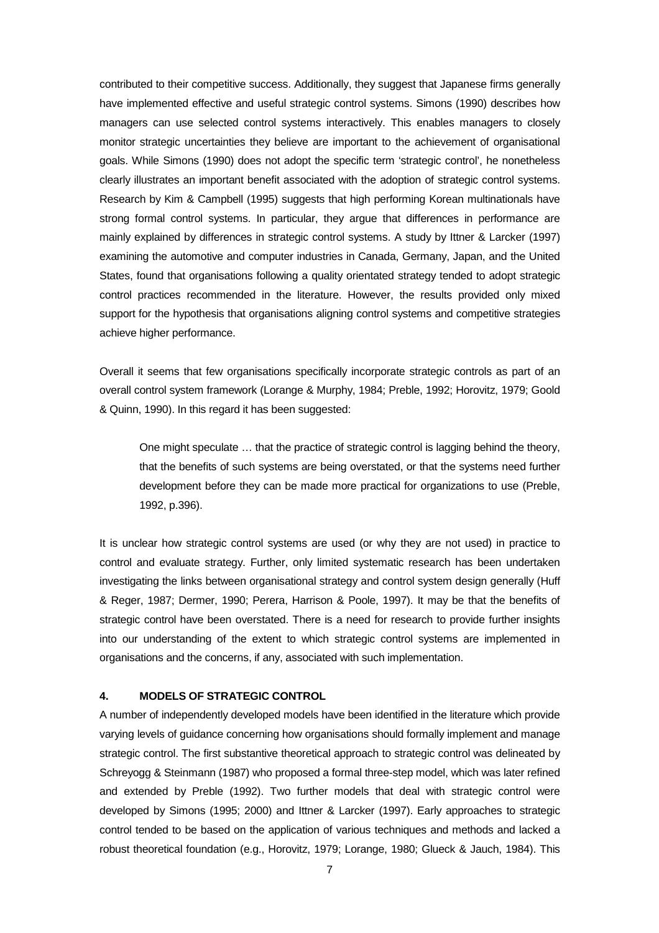contributed to their competitive success. Additionally, they suggest that Japanese firms generally have implemented effective and useful strategic control systems. Simons (1990) describes how managers can use selected control systems interactively. This enables managers to closely monitor strategic uncertainties they believe are important to the achievement of organisational goals. While Simons (1990) does not adopt the specific term 'strategic control', he nonetheless clearly illustrates an important benefit associated with the adoption of strategic control systems. Research by Kim & Campbell (1995) suggests that high performing Korean multinationals have strong formal control systems. In particular, they argue that differences in performance are mainly explained by differences in strategic control systems. A study by Ittner & Larcker (1997) examining the automotive and computer industries in Canada, Germany, Japan, and the United States, found that organisations following a quality orientated strategy tended to adopt strategic control practices recommended in the literature. However, the results provided only mixed support for the hypothesis that organisations aligning control systems and competitive strategies achieve higher performance.

Overall it seems that few organisations specifically incorporate strategic controls as part of an overall control system framework (Lorange & Murphy, 1984; Preble, 1992; Horovitz, 1979; Goold & Quinn, 1990). In this regard it has been suggested:

One might speculate … that the practice of strategic control is lagging behind the theory, that the benefits of such systems are being overstated, or that the systems need further development before they can be made more practical for organizations to use (Preble, 1992, p.396).

It is unclear how strategic control systems are used (or why they are not used) in practice to control and evaluate strategy. Further, only limited systematic research has been undertaken investigating the links between organisational strategy and control system design generally (Huff & Reger, 1987; Dermer, 1990; Perera, Harrison & Poole, 1997). It may be that the benefits of strategic control have been overstated. There is a need for research to provide further insights into our understanding of the extent to which strategic control systems are implemented in organisations and the concerns, if any, associated with such implementation.

## **4. MODELS OF STRATEGIC CONTROL**

A number of independently developed models have been identified in the literature which provide varying levels of guidance concerning how organisations should formally implement and manage strategic control. The first substantive theoretical approach to strategic control was delineated by Schreyogg & Steinmann (1987) who proposed a formal three-step model, which was later refined and extended by Preble (1992). Two further models that deal with strategic control were developed by Simons (1995; 2000) and Ittner & Larcker (1997). Early approaches to strategic control tended to be based on the application of various techniques and methods and lacked a robust theoretical foundation (e.g., Horovitz, 1979; Lorange, 1980; Glueck & Jauch, 1984). This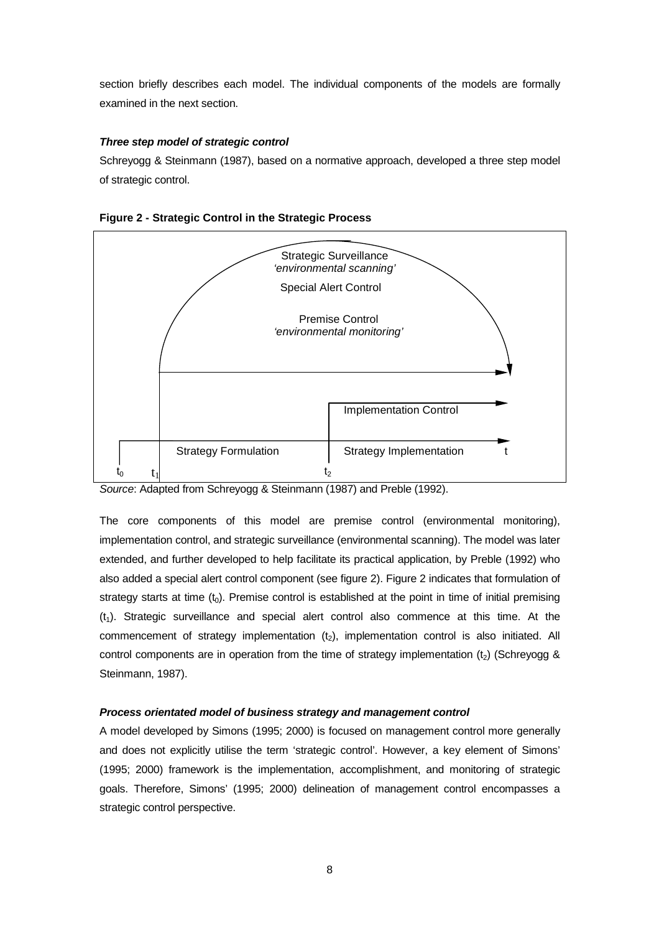section briefly describes each model. The individual components of the models are formally examined in the next section.

## **Three step model of strategic control**

Schreyogg & Steinmann (1987), based on a normative approach, developed a three step model of strategic control.





Source: Adapted from Schreyogg & Steinmann (1987) and Preble (1992).

The core components of this model are premise control (environmental monitoring), implementation control, and strategic surveillance (environmental scanning). The model was later extended, and further developed to help facilitate its practical application, by Preble (1992) who also added a special alert control component (see figure 2). Figure 2 indicates that formulation of strategy starts at time  $(t_0)$ . Premise control is established at the point in time of initial premising  $(t<sub>1</sub>)$ . Strategic surveillance and special alert control also commence at this time. At the commencement of strategy implementation  $(t_2)$ , implementation control is also initiated. All control components are in operation from the time of strategy implementation  $(t_2)$  (Schreyogg & Steinmann, 1987).

## **Process orientated model of business strategy and management control**

A model developed by Simons (1995; 2000) is focused on management control more generally and does not explicitly utilise the term 'strategic control'. However, a key element of Simons' (1995; 2000) framework is the implementation, accomplishment, and monitoring of strategic goals. Therefore, Simons' (1995; 2000) delineation of management control encompasses a strategic control perspective.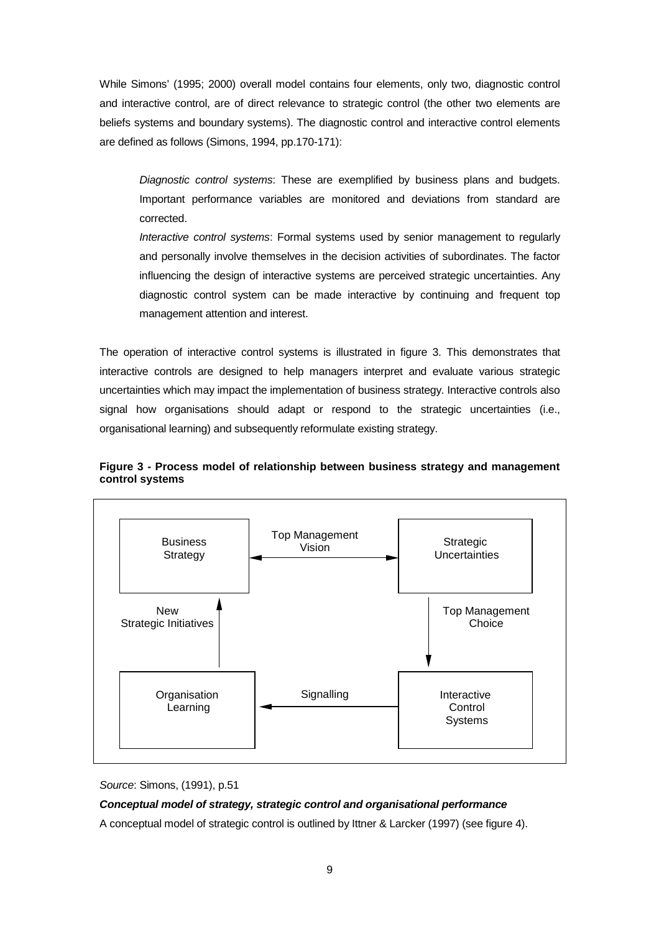While Simons' (1995; 2000) overall model contains four elements, only two, diagnostic control and interactive control, are of direct relevance to strategic control (the other two elements are beliefs systems and boundary systems). The diagnostic control and interactive control elements are defined as follows (Simons, 1994, pp.170-171):

Diagnostic control systems: These are exemplified by business plans and budgets. Important performance variables are monitored and deviations from standard are corrected.

Interactive control systems: Formal systems used by senior management to regularly and personally involve themselves in the decision activities of subordinates. The factor influencing the design of interactive systems are perceived strategic uncertainties. Any diagnostic control system can be made interactive by continuing and frequent top management attention and interest.

The operation of interactive control systems is illustrated in figure 3. This demonstrates that interactive controls are designed to help managers interpret and evaluate various strategic uncertainties which may impact the implementation of business strategy. Interactive controls also signal how organisations should adapt or respond to the strategic uncertainties (i.e., organisational learning) and subsequently reformulate existing strategy.



**Figure 3 - Process model of relationship between business strategy and management control systems**



Source: Simons, (1991), p.51

## **Conceptual model of strategy, strategic control and organisational performance**

A conceptual model of strategic control is outlined by Ittner & Larcker (1997) (see figure 4).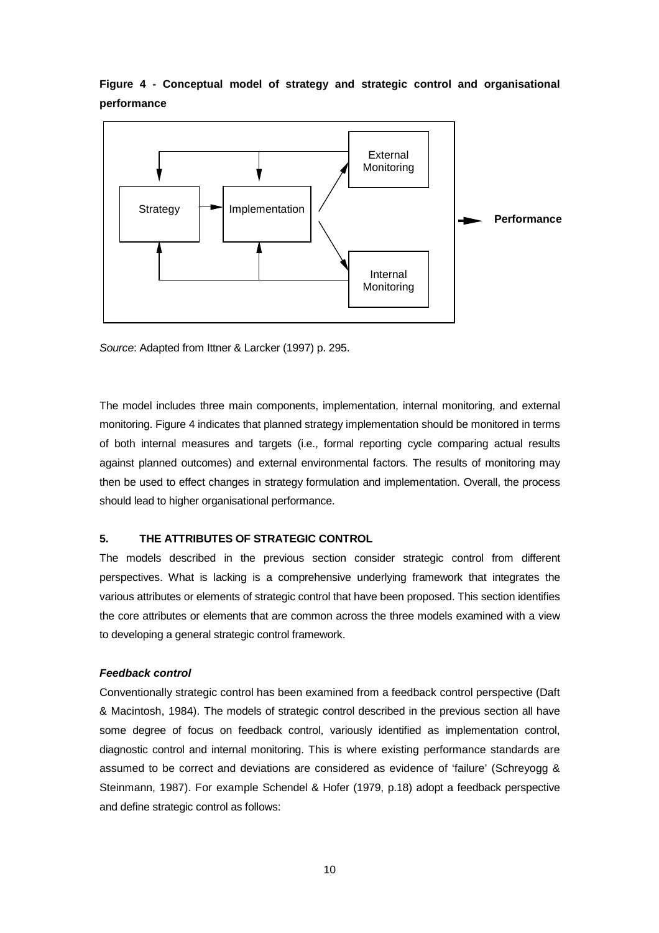## **Figure 4 - Conceptual model of strategy and strategic control and organisational performance**



Source: Adapted from Ittner & Larcker (1997) p. 295.

The model includes three main components, implementation, internal monitoring, and external monitoring. Figure 4 indicates that planned strategy implementation should be monitored in terms of both internal measures and targets (i.e., formal reporting cycle comparing actual results against planned outcomes) and external environmental factors. The results of monitoring may then be used to effect changes in strategy formulation and implementation. Overall, the process should lead to higher organisational performance.

## **5. THE ATTRIBUTES OF STRATEGIC CONTROL**

The models described in the previous section consider strategic control from different perspectives. What is lacking is a comprehensive underlying framework that integrates the various attributes or elements of strategic control that have been proposed. This section identifies the core attributes or elements that are common across the three models examined with a view to developing a general strategic control framework.

## **Feedback control**

Conventionally strategic control has been examined from a feedback control perspective (Daft & Macintosh, 1984). The models of strategic control described in the previous section all have some degree of focus on feedback control, variously identified as implementation control, diagnostic control and internal monitoring. This is where existing performance standards are assumed to be correct and deviations are considered as evidence of 'failure' (Schreyogg & Steinmann, 1987). For example Schendel & Hofer (1979, p.18) adopt a feedback perspective and define strategic control as follows: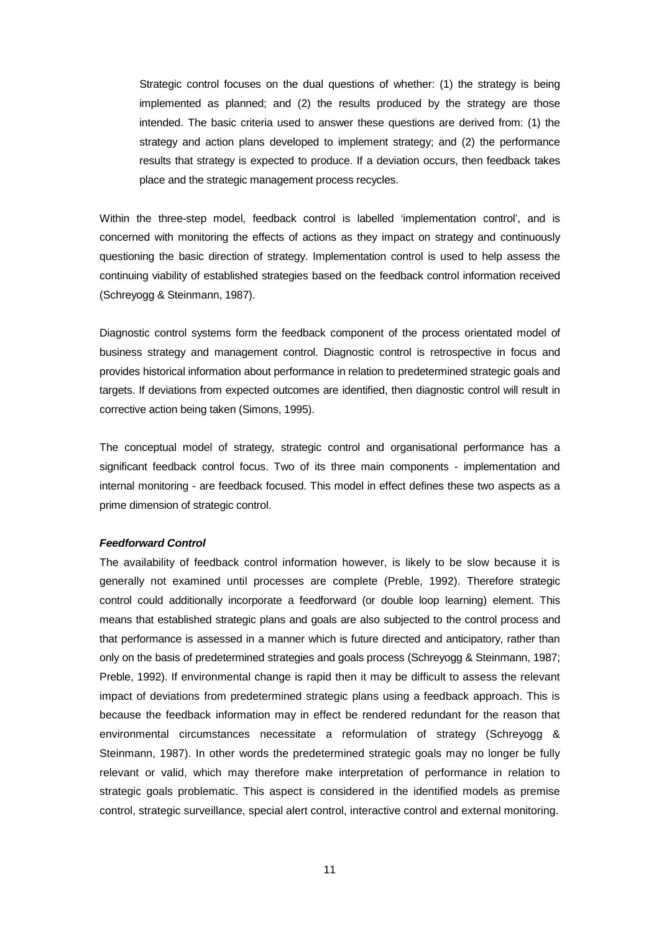Strategic control focuses on the dual questions of whether: (1) the strategy is being implemented as planned; and (2) the results produced by the strategy are those intended. The basic criteria used to answer these questions are derived from: (1) the strategy and action plans developed to implement strategy; and (2) the performance results that strategy is expected to produce. If a deviation occurs, then feedback takes place and the strategic management process recycles.

Within the three-step model, feedback control is labelled 'implementation control', and is concerned with monitoring the effects of actions as they impact on strategy and continuously questioning the basic direction of strategy. Implementation control is used to help assess the continuing viability of established strategies based on the feedback control information received (Schreyogg & Steinmann, 1987).

Diagnostic control systems form the feedback component of the process orientated model of business strategy and management control. Diagnostic control is retrospective in focus and provides historical information about performance in relation to predetermined strategic goals and targets. If deviations from expected outcomes are identified, then diagnostic control will result in corrective action being taken (Simons, 1995).

The conceptual model of strategy, strategic control and organisational performance has a significant feedback control focus. Two of its three main components - implementation and internal monitoring - are feedback focused. This model in effect defines these two aspects as a prime dimension of strategic control.

#### **Feedforward Control**

The availability of feedback control information however, is likely to be slow because it is generally not examined until processes are complete (Preble, 1992). Therefore strategic control could additionally incorporate a feedforward (or double loop learning) element. This means that established strategic plans and goals are also subjected to the control process and that performance is assessed in a manner which is future directed and anticipatory, rather than only on the basis of predetermined strategies and goals process (Schreyogg & Steinmann, 1987; Preble, 1992). If environmental change is rapid then it may be difficult to assess the relevant impact of deviations from predetermined strategic plans using a feedback approach. This is because the feedback information may in effect be rendered redundant for the reason that environmental circumstances necessitate a reformulation of strategy (Schreyogg & Steinmann, 1987). In other words the predetermined strategic goals may no longer be fully relevant or valid, which may therefore make interpretation of performance in relation to strategic goals problematic. This aspect is considered in the identified models as premise control, strategic surveillance, special alert control, interactive control and external monitoring.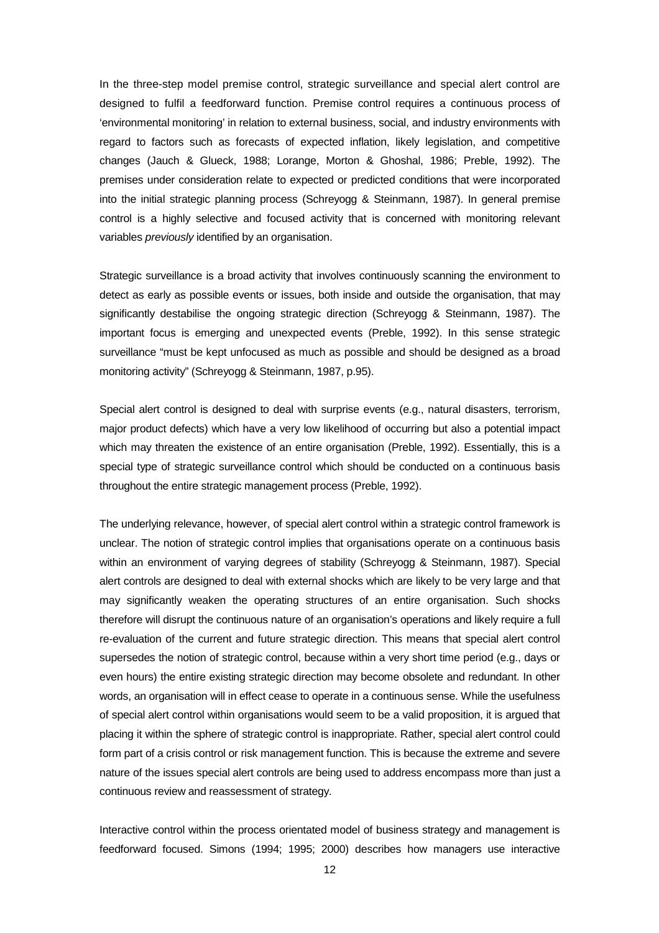In the three-step model premise control, strategic surveillance and special alert control are designed to fulfil a feedforward function. Premise control requires a continuous process of 'environmental monitoring' in relation to external business, social, and industry environments with regard to factors such as forecasts of expected inflation, likely legislation, and competitive changes (Jauch & Glueck, 1988; Lorange, Morton & Ghoshal, 1986; Preble, 1992). The premises under consideration relate to expected or predicted conditions that were incorporated into the initial strategic planning process (Schreyogg & Steinmann, 1987). In general premise control is a highly selective and focused activity that is concerned with monitoring relevant variables previously identified by an organisation.

Strategic surveillance is a broad activity that involves continuously scanning the environment to detect as early as possible events or issues, both inside and outside the organisation, that may significantly destabilise the ongoing strategic direction (Schreyogg & Steinmann, 1987). The important focus is emerging and unexpected events (Preble, 1992). In this sense strategic surveillance "must be kept unfocused as much as possible and should be designed as a broad monitoring activity" (Schreyogg & Steinmann, 1987, p.95).

Special alert control is designed to deal with surprise events (e.g., natural disasters, terrorism, major product defects) which have a very low likelihood of occurring but also a potential impact which may threaten the existence of an entire organisation (Preble, 1992). Essentially, this is a special type of strategic surveillance control which should be conducted on a continuous basis throughout the entire strategic management process (Preble, 1992).

The underlying relevance, however, of special alert control within a strategic control framework is unclear. The notion of strategic control implies that organisations operate on a continuous basis within an environment of varying degrees of stability (Schreyogg & Steinmann, 1987). Special alert controls are designed to deal with external shocks which are likely to be very large and that may significantly weaken the operating structures of an entire organisation. Such shocks therefore will disrupt the continuous nature of an organisation's operations and likely require a full re-evaluation of the current and future strategic direction. This means that special alert control supersedes the notion of strategic control, because within a very short time period (e.g., days or even hours) the entire existing strategic direction may become obsolete and redundant. In other words, an organisation will in effect cease to operate in a continuous sense. While the usefulness of special alert control within organisations would seem to be a valid proposition, it is argued that placing it within the sphere of strategic control is inappropriate. Rather, special alert control could form part of a crisis control or risk management function. This is because the extreme and severe nature of the issues special alert controls are being used to address encompass more than just a continuous review and reassessment of strategy.

Interactive control within the process orientated model of business strategy and management is feedforward focused. Simons (1994; 1995; 2000) describes how managers use interactive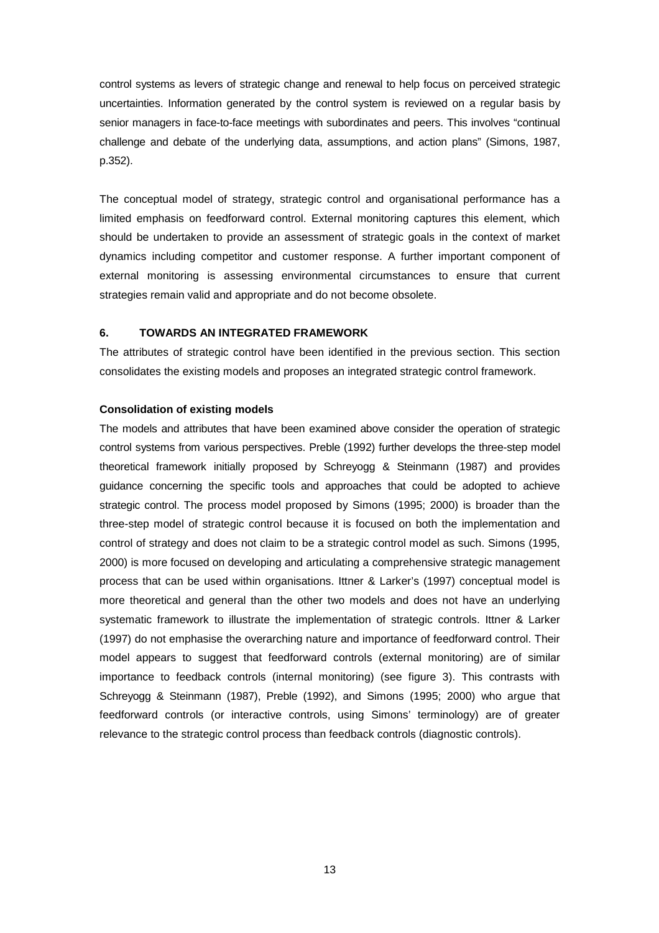control systems as levers of strategic change and renewal to help focus on perceived strategic uncertainties. Information generated by the control system is reviewed on a regular basis by senior managers in face-to-face meetings with subordinates and peers. This involves "continual challenge and debate of the underlying data, assumptions, and action plans" (Simons, 1987, p.352).

The conceptual model of strategy, strategic control and organisational performance has a limited emphasis on feedforward control. External monitoring captures this element, which should be undertaken to provide an assessment of strategic goals in the context of market dynamics including competitor and customer response. A further important component of external monitoring is assessing environmental circumstances to ensure that current strategies remain valid and appropriate and do not become obsolete.

## **6. TOWARDS AN INTEGRATED FRAMEWORK**

The attributes of strategic control have been identified in the previous section. This section consolidates the existing models and proposes an integrated strategic control framework.

## **Consolidation of existing models**

The models and attributes that have been examined above consider the operation of strategic control systems from various perspectives. Preble (1992) further develops the three-step model theoretical framework initially proposed by Schreyogg & Steinmann (1987) and provides guidance concerning the specific tools and approaches that could be adopted to achieve strategic control. The process model proposed by Simons (1995; 2000) is broader than the three-step model of strategic control because it is focused on both the implementation and control of strategy and does not claim to be a strategic control model as such. Simons (1995, 2000) is more focused on developing and articulating a comprehensive strategic management process that can be used within organisations. Ittner & Larker's (1997) conceptual model is more theoretical and general than the other two models and does not have an underlying systematic framework to illustrate the implementation of strategic controls. Ittner & Larker (1997) do not emphasise the overarching nature and importance of feedforward control. Their model appears to suggest that feedforward controls (external monitoring) are of similar importance to feedback controls (internal monitoring) (see figure 3). This contrasts with Schreyogg & Steinmann (1987), Preble (1992), and Simons (1995; 2000) who argue that feedforward controls (or interactive controls, using Simons' terminology) are of greater relevance to the strategic control process than feedback controls (diagnostic controls).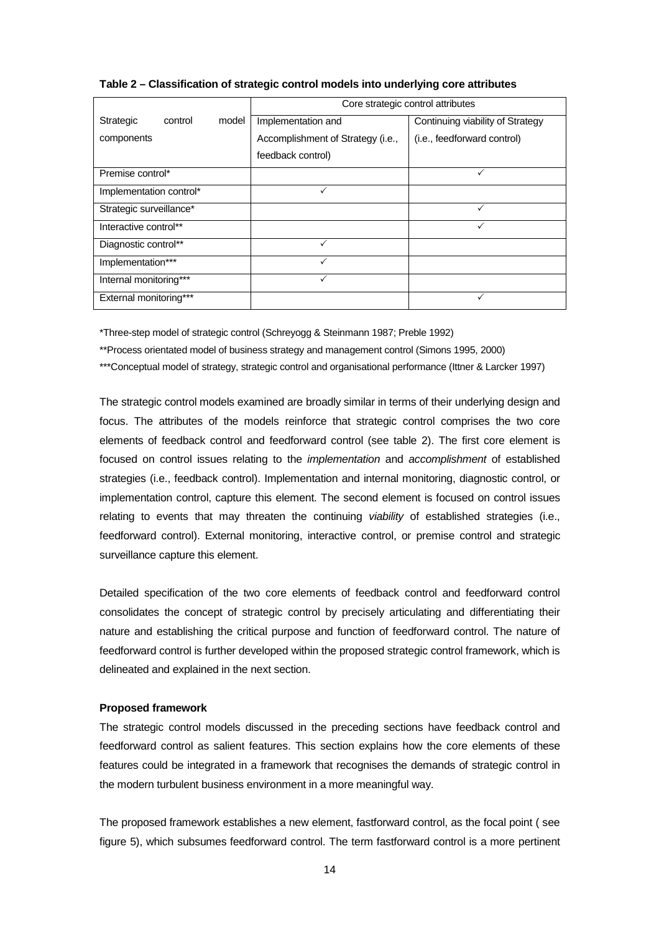|                               | Core strategic control attributes |                                  |  |
|-------------------------------|-----------------------------------|----------------------------------|--|
| model<br>Strategic<br>control | Implementation and                | Continuing viability of Strategy |  |
| components                    | Accomplishment of Strategy (i.e., | (i.e., feedforward control)      |  |
|                               | feedback control)                 |                                  |  |
| Premise control*              |                                   |                                  |  |
| Implementation control*       | ✓                                 |                                  |  |
| Strategic surveillance*       |                                   |                                  |  |
| Interactive control**         |                                   |                                  |  |
| Diagnostic control**          | $\checkmark$                      |                                  |  |
| Implementation***             | ✓                                 |                                  |  |
| Internal monitoring***        | ✓                                 |                                  |  |
| External monitoring***        |                                   | ✓                                |  |

#### **Table 2 – Classification of strategic control models into underlying core attributes**

\*Three-step model of strategic control (Schreyogg & Steinmann 1987; Preble 1992)

\*\*Process orientated model of business strategy and management control (Simons 1995, 2000)

\*\*\*Conceptual model of strategy, strategic control and organisational performance (Ittner & Larcker 1997)

The strategic control models examined are broadly similar in terms of their underlying design and focus. The attributes of the models reinforce that strategic control comprises the two core elements of feedback control and feedforward control (see table 2). The first core element is focused on control issues relating to the implementation and accomplishment of established strategies (i.e., feedback control). Implementation and internal monitoring, diagnostic control, or implementation control, capture this element. The second element is focused on control issues relating to events that may threaten the continuing *viability* of established strategies (i.e., feedforward control). External monitoring, interactive control, or premise control and strategic surveillance capture this element.

Detailed specification of the two core elements of feedback control and feedforward control consolidates the concept of strategic control by precisely articulating and differentiating their nature and establishing the critical purpose and function of feedforward control. The nature of feedforward control is further developed within the proposed strategic control framework, which is delineated and explained in the next section.

## **Proposed framework**

The strategic control models discussed in the preceding sections have feedback control and feedforward control as salient features. This section explains how the core elements of these features could be integrated in a framework that recognises the demands of strategic control in the modern turbulent business environment in a more meaningful way.

The proposed framework establishes a new element, fastforward control, as the focal point ( see figure 5), which subsumes feedforward control. The term fastforward control is a more pertinent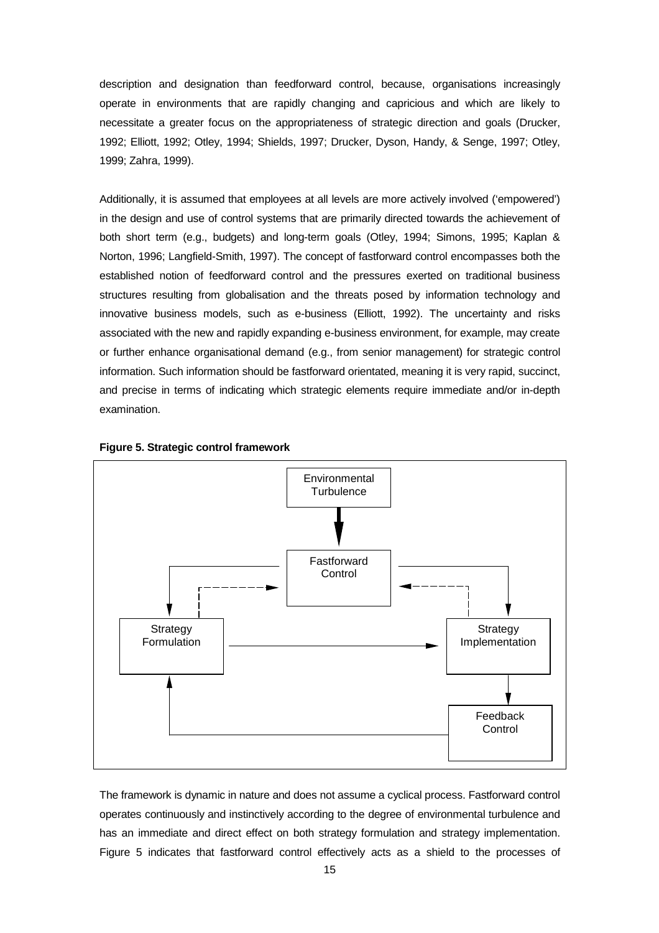description and designation than feedforward control, because, organisations increasingly operate in environments that are rapidly changing and capricious and which are likely to necessitate a greater focus on the appropriateness of strategic direction and goals (Drucker, 1992; Elliott, 1992; Otley, 1994; Shields, 1997; Drucker, Dyson, Handy, & Senge, 1997; Otley, 1999; Zahra, 1999).

Additionally, it is assumed that employees at all levels are more actively involved ('empowered') in the design and use of control systems that are primarily directed towards the achievement of both short term (e.g., budgets) and long-term goals (Otley, 1994; Simons, 1995; Kaplan & Norton, 1996; Langfield-Smith, 1997). The concept of fastforward control encompasses both the established notion of feedforward control and the pressures exerted on traditional business structures resulting from globalisation and the threats posed by information technology and innovative business models, such as e-business (Elliott, 1992). The uncertainty and risks associated with the new and rapidly expanding e-business environment, for example, may create or further enhance organisational demand (e.g., from senior management) for strategic control information. Such information should be fastforward orientated, meaning it is very rapid, succinct, and precise in terms of indicating which strategic elements require immediate and/or in-depth examination.





The framework is dynamic in nature and does not assume a cyclical process. Fastforward control operates continuously and instinctively according to the degree of environmental turbulence and has an immediate and direct effect on both strategy formulation and strategy implementation. Figure 5 indicates that fastforward control effectively acts as a shield to the processes of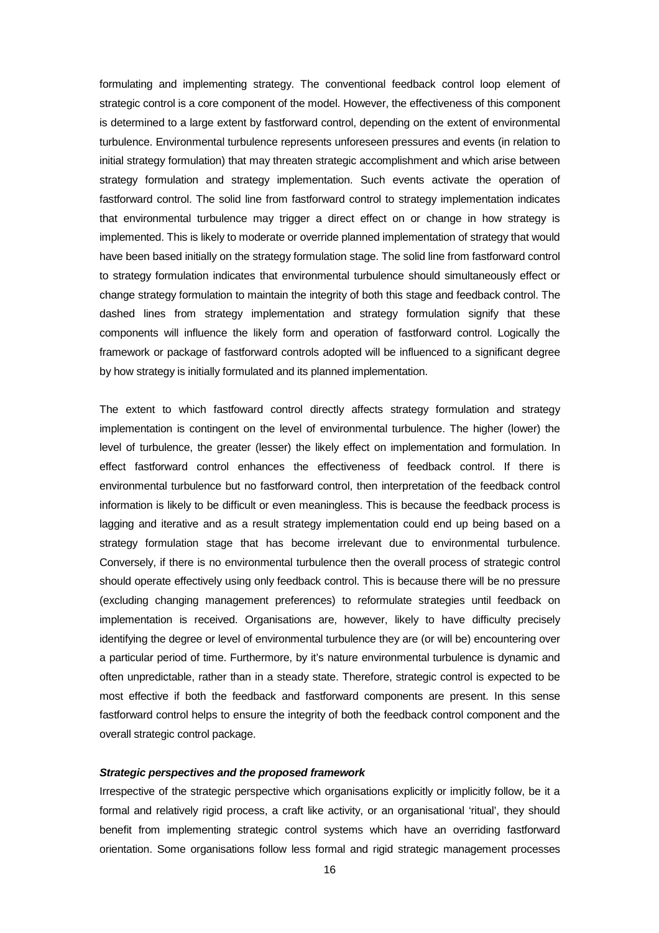formulating and implementing strategy. The conventional feedback control loop element of strategic control is a core component of the model. However, the effectiveness of this component is determined to a large extent by fastforward control, depending on the extent of environmental turbulence. Environmental turbulence represents unforeseen pressures and events (in relation to initial strategy formulation) that may threaten strategic accomplishment and which arise between strategy formulation and strategy implementation. Such events activate the operation of fastforward control. The solid line from fastforward control to strategy implementation indicates that environmental turbulence may trigger a direct effect on or change in how strategy is implemented. This is likely to moderate or override planned implementation of strategy that would have been based initially on the strategy formulation stage. The solid line from fastforward control to strategy formulation indicates that environmental turbulence should simultaneously effect or change strategy formulation to maintain the integrity of both this stage and feedback control. The dashed lines from strategy implementation and strategy formulation signify that these components will influence the likely form and operation of fastforward control. Logically the framework or package of fastforward controls adopted will be influenced to a significant degree by how strategy is initially formulated and its planned implementation.

The extent to which fastfoward control directly affects strategy formulation and strategy implementation is contingent on the level of environmental turbulence. The higher (lower) the level of turbulence, the greater (lesser) the likely effect on implementation and formulation. In effect fastforward control enhances the effectiveness of feedback control. If there is environmental turbulence but no fastforward control, then interpretation of the feedback control information is likely to be difficult or even meaningless. This is because the feedback process is lagging and iterative and as a result strategy implementation could end up being based on a strategy formulation stage that has become irrelevant due to environmental turbulence. Conversely, if there is no environmental turbulence then the overall process of strategic control should operate effectively using only feedback control. This is because there will be no pressure (excluding changing management preferences) to reformulate strategies until feedback on implementation is received. Organisations are, however, likely to have difficulty precisely identifying the degree or level of environmental turbulence they are (or will be) encountering over a particular period of time. Furthermore, by it's nature environmental turbulence is dynamic and often unpredictable, rather than in a steady state. Therefore, strategic control is expected to be most effective if both the feedback and fastforward components are present. In this sense fastforward control helps to ensure the integrity of both the feedback control component and the overall strategic control package.

## **Strategic perspectives and the proposed framework**

Irrespective of the strategic perspective which organisations explicitly or implicitly follow, be it a formal and relatively rigid process, a craft like activity, or an organisational 'ritual', they should benefit from implementing strategic control systems which have an overriding fastforward orientation. Some organisations follow less formal and rigid strategic management processes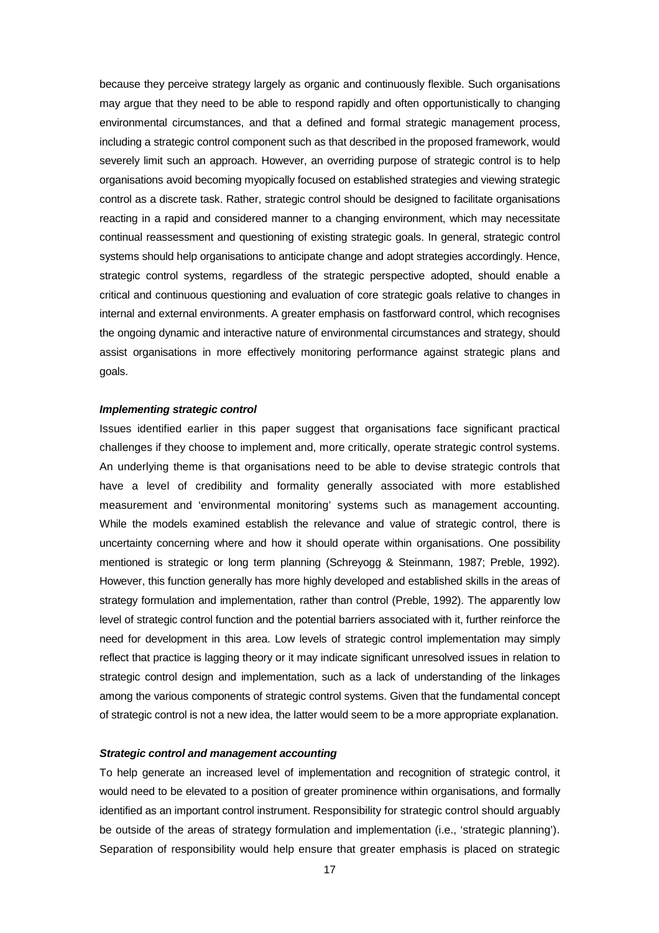because they perceive strategy largely as organic and continuously flexible. Such organisations may argue that they need to be able to respond rapidly and often opportunistically to changing environmental circumstances, and that a defined and formal strategic management process, including a strategic control component such as that described in the proposed framework, would severely limit such an approach. However, an overriding purpose of strategic control is to help organisations avoid becoming myopically focused on established strategies and viewing strategic control as a discrete task. Rather, strategic control should be designed to facilitate organisations reacting in a rapid and considered manner to a changing environment, which may necessitate continual reassessment and questioning of existing strategic goals. In general, strategic control systems should help organisations to anticipate change and adopt strategies accordingly. Hence, strategic control systems, regardless of the strategic perspective adopted, should enable a critical and continuous questioning and evaluation of core strategic goals relative to changes in internal and external environments. A greater emphasis on fastforward control, which recognises the ongoing dynamic and interactive nature of environmental circumstances and strategy, should assist organisations in more effectively monitoring performance against strategic plans and goals.

#### **Implementing strategic control**

Issues identified earlier in this paper suggest that organisations face significant practical challenges if they choose to implement and, more critically, operate strategic control systems. An underlying theme is that organisations need to be able to devise strategic controls that have a level of credibility and formality generally associated with more established measurement and 'environmental monitoring' systems such as management accounting. While the models examined establish the relevance and value of strategic control, there is uncertainty concerning where and how it should operate within organisations. One possibility mentioned is strategic or long term planning (Schreyogg & Steinmann, 1987; Preble, 1992). However, this function generally has more highly developed and established skills in the areas of strategy formulation and implementation, rather than control (Preble, 1992). The apparently low level of strategic control function and the potential barriers associated with it, further reinforce the need for development in this area. Low levels of strategic control implementation may simply reflect that practice is lagging theory or it may indicate significant unresolved issues in relation to strategic control design and implementation, such as a lack of understanding of the linkages among the various components of strategic control systems. Given that the fundamental concept of strategic control is not a new idea, the latter would seem to be a more appropriate explanation.

## **Strategic control and management accounting**

To help generate an increased level of implementation and recognition of strategic control, it would need to be elevated to a position of greater prominence within organisations, and formally identified as an important control instrument. Responsibility for strategic control should arguably be outside of the areas of strategy formulation and implementation (i.e., 'strategic planning'). Separation of responsibility would help ensure that greater emphasis is placed on strategic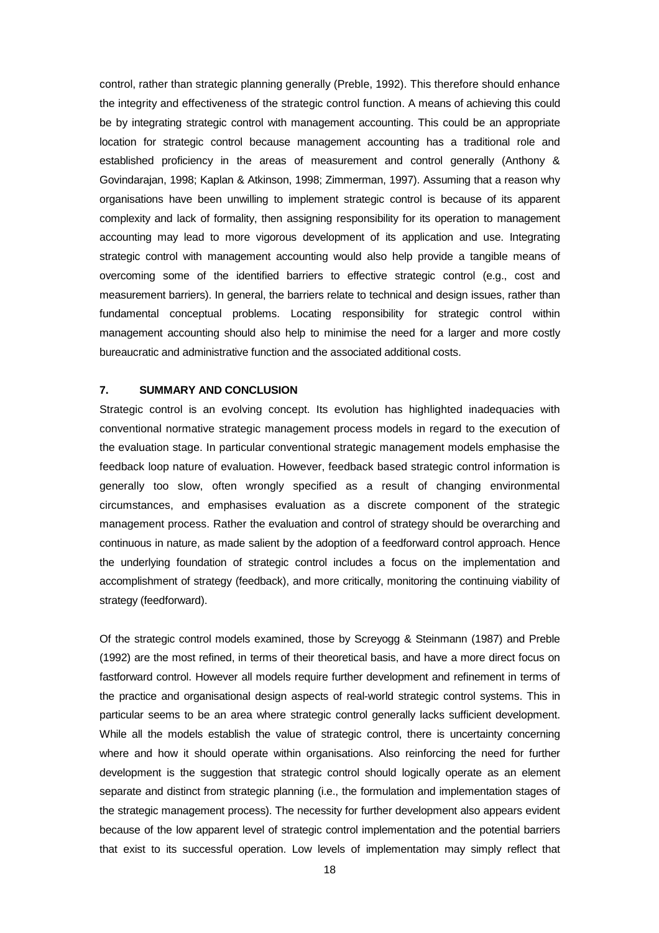control, rather than strategic planning generally (Preble, 1992). This therefore should enhance the integrity and effectiveness of the strategic control function. A means of achieving this could be by integrating strategic control with management accounting. This could be an appropriate location for strategic control because management accounting has a traditional role and established proficiency in the areas of measurement and control generally (Anthony & Govindarajan, 1998; Kaplan & Atkinson, 1998; Zimmerman, 1997). Assuming that a reason why organisations have been unwilling to implement strategic control is because of its apparent complexity and lack of formality, then assigning responsibility for its operation to management accounting may lead to more vigorous development of its application and use. Integrating strategic control with management accounting would also help provide a tangible means of overcoming some of the identified barriers to effective strategic control (e.g., cost and measurement barriers). In general, the barriers relate to technical and design issues, rather than fundamental conceptual problems. Locating responsibility for strategic control within management accounting should also help to minimise the need for a larger and more costly bureaucratic and administrative function and the associated additional costs.

#### **7. SUMMARY AND CONCLUSION**

Strategic control is an evolving concept. Its evolution has highlighted inadequacies with conventional normative strategic management process models in regard to the execution of the evaluation stage. In particular conventional strategic management models emphasise the feedback loop nature of evaluation. However, feedback based strategic control information is generally too slow, often wrongly specified as a result of changing environmental circumstances, and emphasises evaluation as a discrete component of the strategic management process. Rather the evaluation and control of strategy should be overarching and continuous in nature, as made salient by the adoption of a feedforward control approach. Hence the underlying foundation of strategic control includes a focus on the implementation and accomplishment of strategy (feedback), and more critically, monitoring the continuing viability of strategy (feedforward).

Of the strategic control models examined, those by Screyogg & Steinmann (1987) and Preble (1992) are the most refined, in terms of their theoretical basis, and have a more direct focus on fastforward control. However all models require further development and refinement in terms of the practice and organisational design aspects of real-world strategic control systems. This in particular seems to be an area where strategic control generally lacks sufficient development. While all the models establish the value of strategic control, there is uncertainty concerning where and how it should operate within organisations. Also reinforcing the need for further development is the suggestion that strategic control should logically operate as an element separate and distinct from strategic planning (i.e., the formulation and implementation stages of the strategic management process). The necessity for further development also appears evident because of the low apparent level of strategic control implementation and the potential barriers that exist to its successful operation. Low levels of implementation may simply reflect that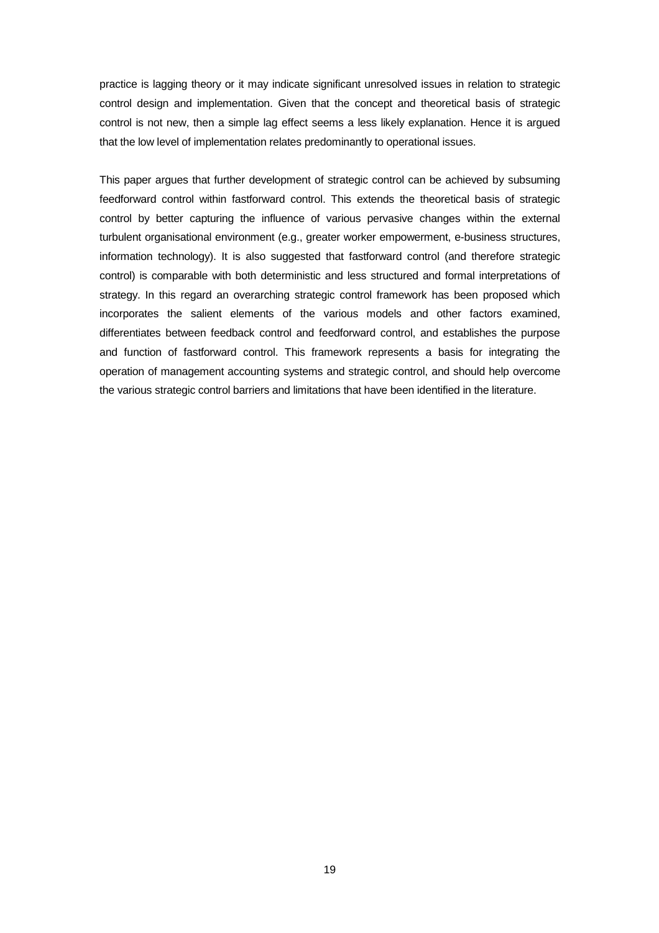practice is lagging theory or it may indicate significant unresolved issues in relation to strategic control design and implementation. Given that the concept and theoretical basis of strategic control is not new, then a simple lag effect seems a less likely explanation. Hence it is argued that the low level of implementation relates predominantly to operational issues.

This paper argues that further development of strategic control can be achieved by subsuming feedforward control within fastforward control. This extends the theoretical basis of strategic control by better capturing the influence of various pervasive changes within the external turbulent organisational environment (e.g., greater worker empowerment, e-business structures, information technology). It is also suggested that fastforward control (and therefore strategic control) is comparable with both deterministic and less structured and formal interpretations of strategy. In this regard an overarching strategic control framework has been proposed which incorporates the salient elements of the various models and other factors examined, differentiates between feedback control and feedforward control, and establishes the purpose and function of fastforward control. This framework represents a basis for integrating the operation of management accounting systems and strategic control, and should help overcome the various strategic control barriers and limitations that have been identified in the literature.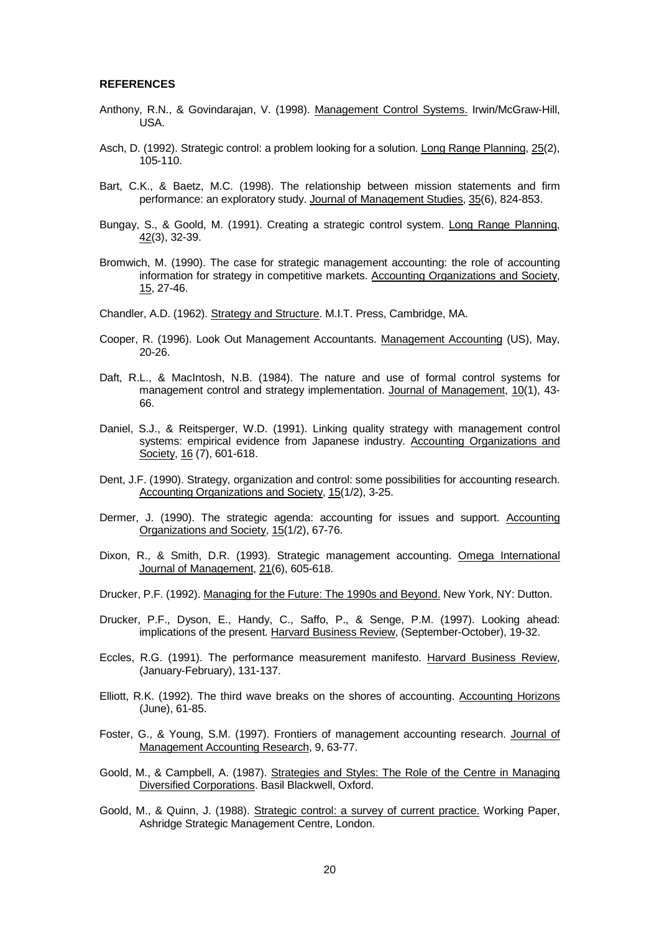#### **REFERENCES**

- Anthony, R.N., & Govindarajan, V. (1998). Management Control Systems. Irwin/McGraw-Hill, USA.
- Asch, D. (1992). Strategic control: a problem looking for a solution. Long Range Planning, 25(2), 105-110.
- Bart, C.K., & Baetz, M.C. (1998). The relationship between mission statements and firm performance: an exploratory study. Journal of Management Studies, 35(6), 824-853.
- Bungay, S., & Goold, M. (1991). Creating a strategic control system. Long Range Planning, 42(3), 32-39.
- Bromwich, M. (1990). The case for strategic management accounting: the role of accounting information for strategy in competitive markets. Accounting Organizations and Society, 15, 27-46.
- Chandler, A.D. (1962). Strategy and Structure. M.I.T. Press, Cambridge, MA.
- Cooper, R. (1996). Look Out Management Accountants. Management Accounting (US), May, 20-26.
- Daft, R.L., & MacIntosh, N.B. (1984). The nature and use of formal control systems for management control and strategy implementation. Journal of Management, 10(1), 43- 66.
- Daniel, S.J., & Reitsperger, W.D. (1991). Linking quality strategy with management control systems: empirical evidence from Japanese industry. Accounting Organizations and Society, 16 (7), 601-618.
- Dent, J.F. (1990). Strategy, organization and control: some possibilities for accounting research. Accounting Organizations and Society, 15(1/2), 3-25.
- Dermer, J. (1990). The strategic agenda: accounting for issues and support. Accounting Organizations and Society, 15(1/2), 67-76.
- Dixon, R., & Smith, D.R. (1993). Strategic management accounting. Omega International Journal of Management, 21(6), 605-618.
- Drucker, P.F. (1992). Managing for the Future: The 1990s and Beyond. New York, NY: Dutton.
- Drucker, P.F., Dyson, E., Handy, C., Saffo, P., & Senge, P.M. (1997). Looking ahead: implications of the present. Harvard Business Review, (September-October), 19-32.
- Eccles, R.G. (1991). The performance measurement manifesto. Harvard Business Review, (January-February), 131-137.
- Elliott, R.K. (1992). The third wave breaks on the shores of accounting. Accounting Horizons (June), 61-85.
- Foster, G., & Young, S.M. (1997). Frontiers of management accounting research. Journal of Management Accounting Research, 9, 63-77.
- Goold, M., & Campbell, A. (1987). Strategies and Styles: The Role of the Centre in Managing Diversified Corporations. Basil Blackwell, Oxford.
- Goold, M., & Quinn, J. (1988). Strategic control: a survey of current practice. Working Paper, Ashridge Strategic Management Centre, London.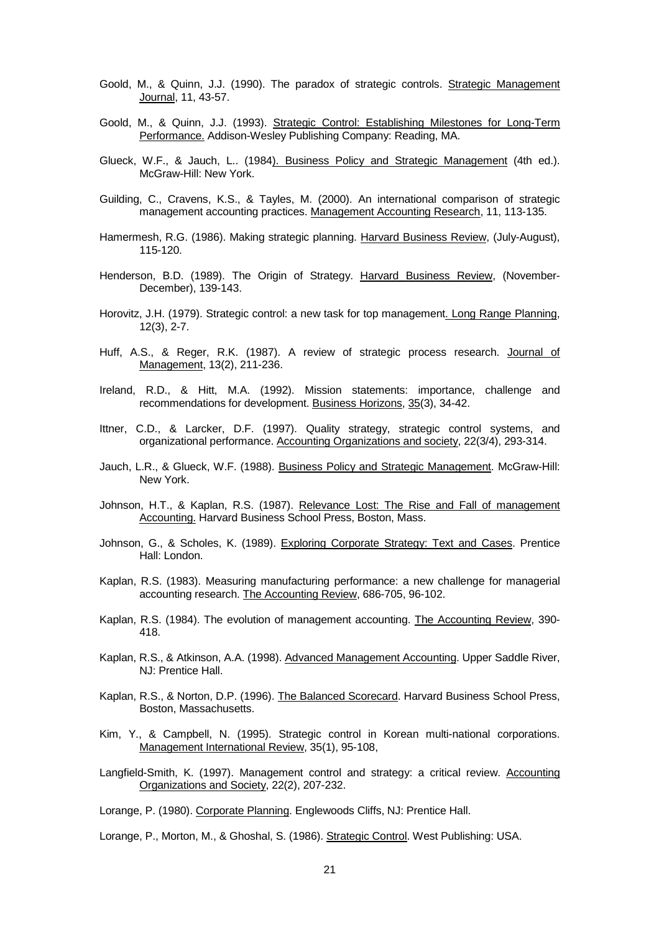- Goold, M., & Quinn, J.J. (1990). The paradox of strategic controls. Strategic Management Journal, 11, 43-57.
- Goold, M., & Quinn, J.J. (1993). Strategic Control: Establishing Milestones for Long-Term Performance. Addison-Wesley Publishing Company: Reading, MA.
- Glueck, W.F., & Jauch, L.. (1984). Business Policy and Strategic Management (4th ed.). McGraw-Hill: New York.
- Guilding, C., Cravens, K.S., & Tayles, M. (2000). An international comparison of strategic management accounting practices. Management Accounting Research, 11, 113-135.
- Hamermesh, R.G. (1986). Making strategic planning. Harvard Business Review, (July-August), 115-120.
- Henderson, B.D. (1989). The Origin of Strategy. Harvard Business Review, (November-December), 139-143.
- Horovitz, J.H. (1979). Strategic control: a new task for top management. Long Range Planning, 12(3), 2-7.
- Huff, A.S., & Reger, R.K. (1987). A review of strategic process research. Journal of Management, 13(2), 211-236.
- Ireland, R.D., & Hitt, M.A. (1992). Mission statements: importance, challenge and recommendations for development. Business Horizons, 35(3), 34-42.
- Ittner, C.D., & Larcker, D.F. (1997). Quality strategy, strategic control systems, and organizational performance. Accounting Organizations and society, 22(3/4), 293-314.
- Jauch, L.R., & Glueck, W.F. (1988). Business Policy and Strategic Management. McGraw-Hill: New York.
- Johnson, H.T., & Kaplan, R.S. (1987). Relevance Lost: The Rise and Fall of management Accounting. Harvard Business School Press, Boston, Mass.
- Johnson, G., & Scholes, K. (1989). Exploring Corporate Strategy: Text and Cases. Prentice Hall: London.
- Kaplan, R.S. (1983). Measuring manufacturing performance: a new challenge for managerial accounting research. The Accounting Review, 686-705, 96-102.
- Kaplan, R.S. (1984). The evolution of management accounting. The Accounting Review, 390- 418.
- Kaplan, R.S., & Atkinson, A.A. (1998). Advanced Management Accounting. Upper Saddle River, NJ: Prentice Hall.
- Kaplan, R.S., & Norton, D.P. (1996). The Balanced Scorecard. Harvard Business School Press, Boston, Massachusetts.
- Kim, Y., & Campbell, N. (1995). Strategic control in Korean multi-national corporations. Management International Review, 35(1), 95-108,
- Langfield-Smith, K. (1997). Management control and strategy: a critical review. Accounting Organizations and Society, 22(2), 207-232.

Lorange, P. (1980). Corporate Planning. Englewoods Cliffs, NJ: Prentice Hall.

Lorange, P., Morton, M., & Ghoshal, S. (1986). Strategic Control. West Publishing: USA.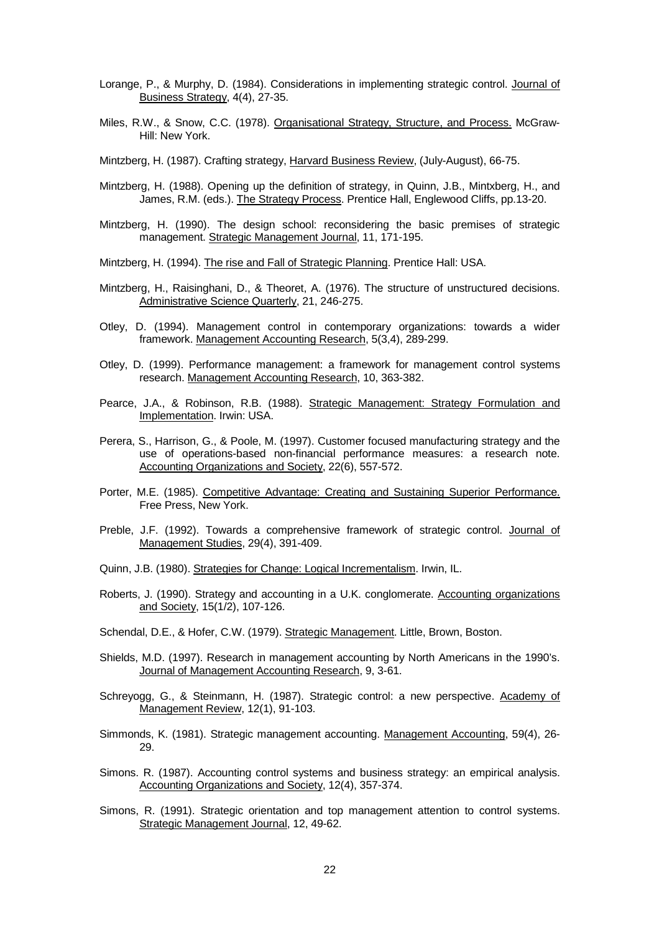- Lorange, P., & Murphy, D. (1984). Considerations in implementing strategic control. Journal of Business Strategy, 4(4), 27-35.
- Miles, R.W., & Snow, C.C. (1978). Organisational Strategy, Structure, and Process. McGraw-Hill: New York.

Mintzberg, H. (1987). Crafting strategy, Harvard Business Review, (July-August), 66-75.

- Mintzberg, H. (1988). Opening up the definition of strategy, in Quinn, J.B., Mintxberg, H., and James, R.M. (eds.). The Strategy Process. Prentice Hall, Englewood Cliffs, pp.13-20.
- Mintzberg, H. (1990). The design school: reconsidering the basic premises of strategic management. Strategic Management Journal, 11, 171-195.

Mintzberg, H. (1994). The rise and Fall of Strategic Planning. Prentice Hall: USA.

- Mintzberg, H., Raisinghani, D., & Theoret, A. (1976). The structure of unstructured decisions. Administrative Science Quarterly, 21, 246-275.
- Otley, D. (1994). Management control in contemporary organizations: towards a wider framework. Management Accounting Research, 5(3,4), 289-299.
- Otley, D. (1999). Performance management: a framework for management control systems research. Management Accounting Research, 10, 363-382.
- Pearce, J.A., & Robinson, R.B. (1988). Strategic Management: Strategy Formulation and Implementation. Irwin: USA.
- Perera, S., Harrison, G., & Poole, M. (1997). Customer focused manufacturing strategy and the use of operations-based non-financial performance measures: a research note. Accounting Organizations and Society, 22(6), 557-572.
- Porter, M.E. (1985). Competitive Advantage: Creating and Sustaining Superior Performance. Free Press, New York.
- Preble, J.F. (1992). Towards a comprehensive framework of strategic control. Journal of Management Studies, 29(4), 391-409.
- Quinn, J.B. (1980). Strategies for Change: Logical Incrementalism. Irwin, IL.
- Roberts, J. (1990). Strategy and accounting in a U.K. conglomerate. Accounting organizations and Society, 15(1/2), 107-126.
- Schendal, D.E., & Hofer, C.W. (1979). Strategic Management. Little, Brown, Boston.
- Shields, M.D. (1997). Research in management accounting by North Americans in the 1990's. Journal of Management Accounting Research, 9, 3-61.
- Schreyogg, G., & Steinmann, H. (1987). Strategic control: a new perspective. Academy of Management Review, 12(1), 91-103.
- Simmonds, K. (1981). Strategic management accounting. Management Accounting, 59(4), 26- 29.
- Simons. R. (1987). Accounting control systems and business strategy: an empirical analysis. Accounting Organizations and Society, 12(4), 357-374.
- Simons, R. (1991). Strategic orientation and top management attention to control systems. Strategic Management Journal, 12, 49-62.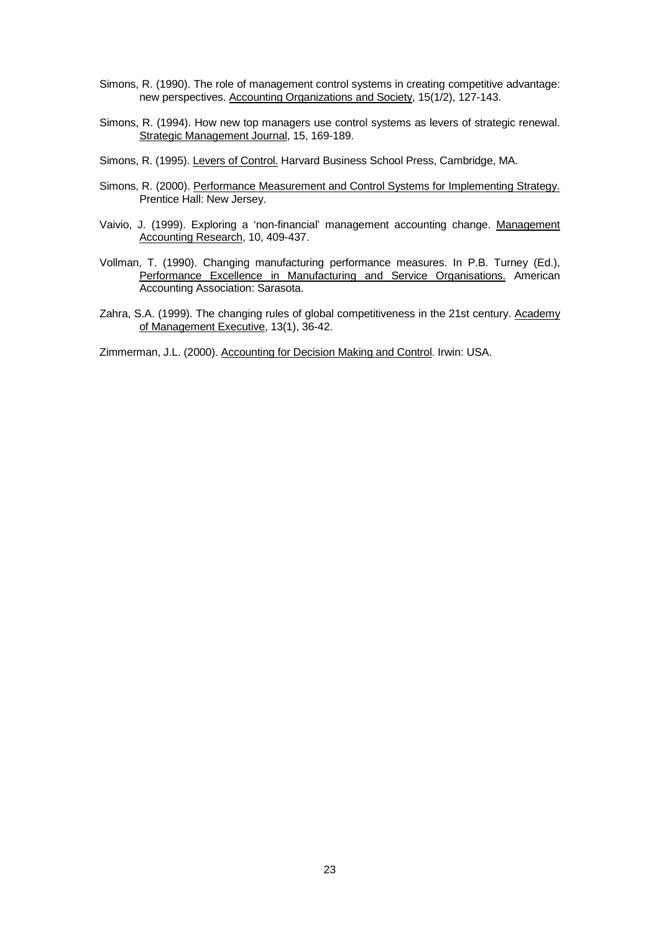- Simons, R. (1990). The role of management control systems in creating competitive advantage: new perspectives. Accounting Organizations and Society, 15(1/2), 127-143.
- Simons, R. (1994). How new top managers use control systems as levers of strategic renewal. Strategic Management Journal, 15, 169-189.
- Simons, R. (1995). Levers of Control. Harvard Business School Press, Cambridge, MA.
- Simons, R. (2000). Performance Measurement and Control Systems for Implementing Strategy. Prentice Hall: New Jersey.
- Vaivio, J. (1999). Exploring a 'non-financial' management accounting change. Management Accounting Research, 10, 409-437.
- Vollman, T. (1990). Changing manufacturing performance measures. In P.B. Turney (Ed.), Performance Excellence in Manufacturing and Service Organisations. American Accounting Association: Sarasota.
- Zahra, S.A. (1999). The changing rules of global competitiveness in the 21st century. Academy of Management Executive, 13(1), 36-42.

Zimmerman, J.L. (2000). Accounting for Decision Making and Control. Irwin: USA.